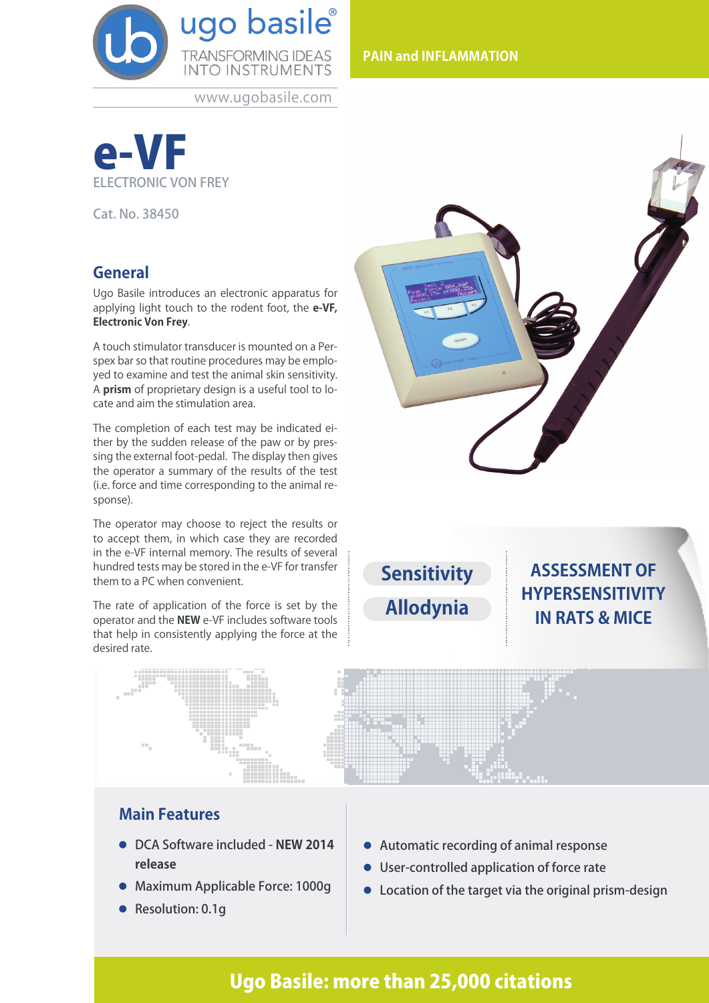

www.ugobasile.com



Cat. No. 38450

# **General**

Ugo Basile introduces an electronic apparatus for applying light touch to the rodent foot, the **e-VF, Electronic Von Frey**.

A touch stimulator transducer is mounted on a Perspex bar so that routine procedures may be employed to examine and test the animal skin sensitivity. A **prism** of proprietary design is a useful tool to locate and aim the stimulation area.

The completion of each test may be indicated either by the sudden release of the paw or by pressing the external foot-pedal. The display then gives the operator a summary of the results of the test (i.e. force and time corresponding to the animal response).

The operator may choose to reject the results or to accept them, in which case they are recorded in the e-VF internal memory. The results of several hundred tests may be stored in the e-VF for transfer them to a PC when convenient.

The rate of application of the force is set by the operator and the **NEW** e-VF includes software tools that help in consistently applying the force at the desired rate.



**Sensitivity Allodynia**

**ASSESSMENT OF HYPERSENSITIVITY IN RATS & MICE** 



# **Main Features**

- l DCA Software included **NEW 2014 release**
- **Maximum Applicable Force: 1000g**
- Resolution: 0.1q
- **Automatic recording of animal response**
- User-controlled application of force rate
- $\bullet$  Location of the target via the original prism-design

# Ugo Basile: more than 25,000 citations